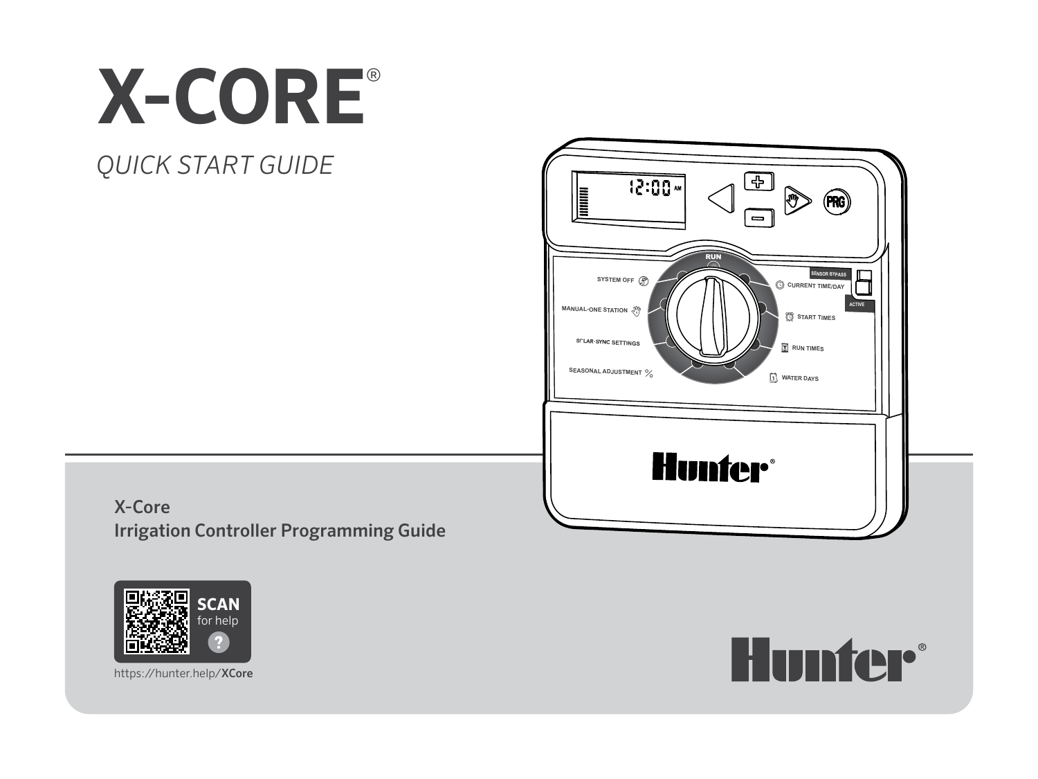# **X-CORE**®

# *QUICK START GUIDE*



X-Core Irrigation Controller Programming Guide



**Hunter®** 

https://hunter.help/XCore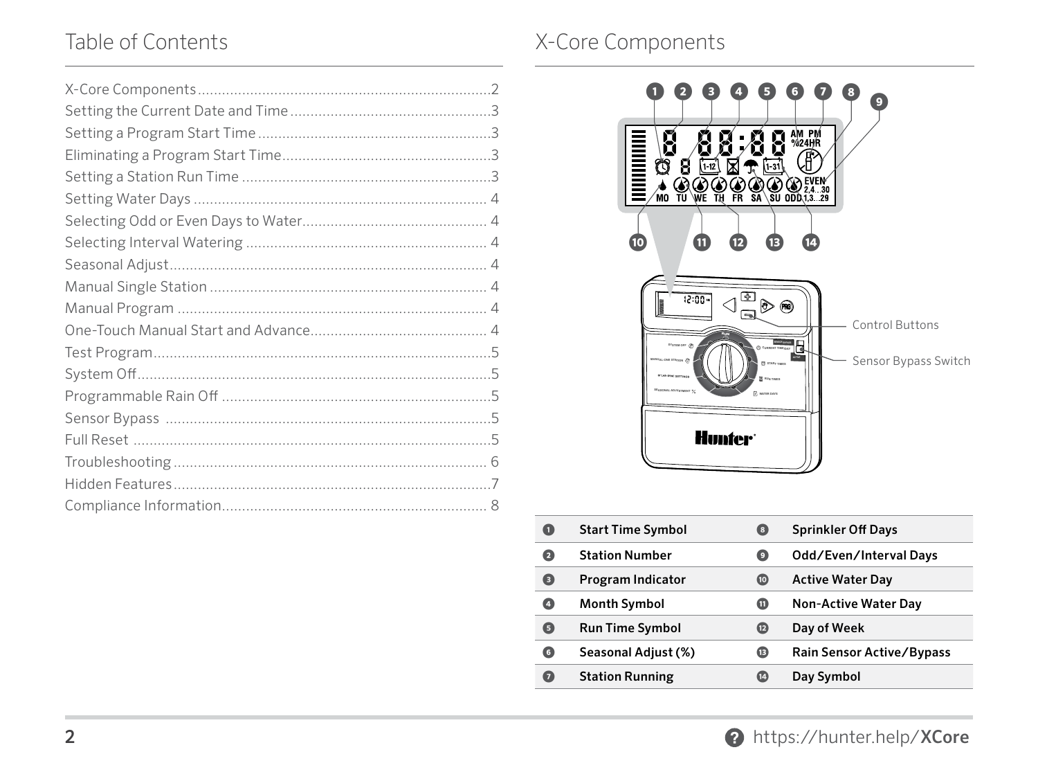## Table of Contents Table of Contents



| Œ | <b>Start Time Symbol</b> | ( 8 )          | <b>Sprinkler Off Days</b>   |
|---|--------------------------|----------------|-----------------------------|
| 0 | <b>Station Number</b>    | $\overline{9}$ | Odd/Even/Interval Days      |
| 0 | Program Indicator        | 0              | <b>Active Water Day</b>     |
| Ø | <b>Month Symbol</b>      | ⋒              | <b>Non-Active Water Day</b> |
| 0 | <b>Run Time Symbol</b>   | $\mathbf{E}$   | Day of Week                 |
| O | Seasonal Adjust (%)      | ⊕              | Rain Sensor Active/Bypass   |
| 0 | <b>Station Running</b>   | (14)           | Day Symbol                  |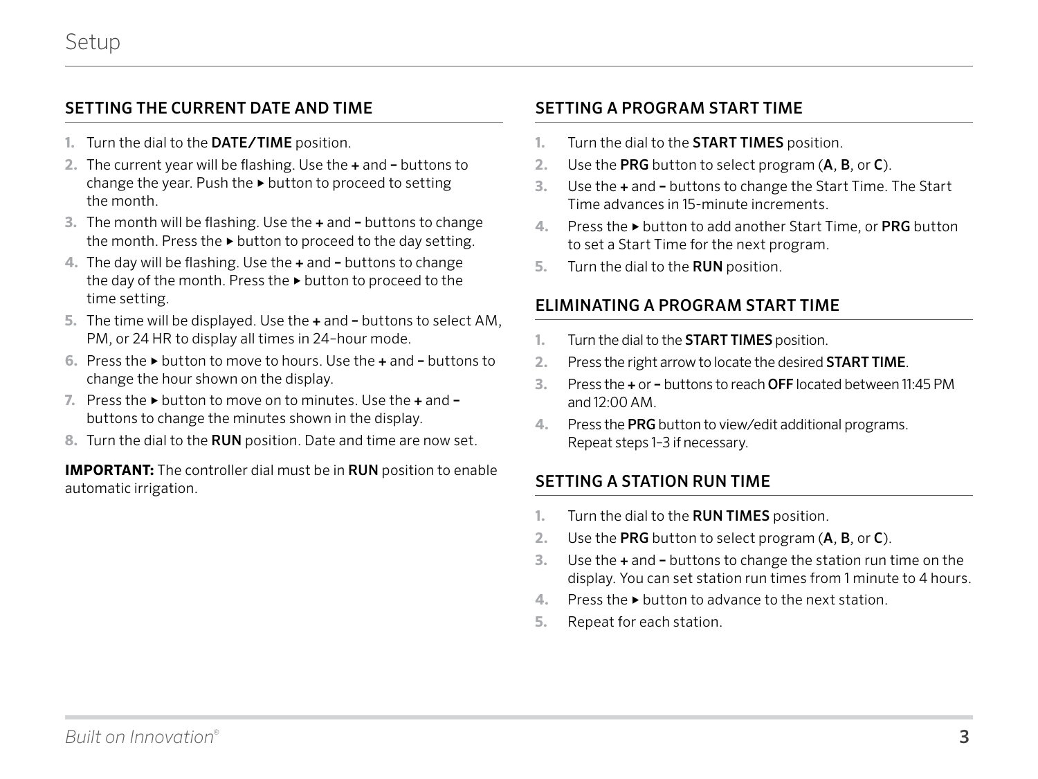#### <span id="page-2-0"></span>SETTING THE CURRENT DATE AND TIME

- **1.** Turn the dial to the DATE/TIME position.
- **2.** The current year will be flashing. Use the + and buttons to change the year. Push the ► button to proceed to setting the month.
- **3.** The month will be flashing. Use the + and buttons to change the month. Press the ► button to proceed to the day setting.
- **4.** The day will be flashing. Use the + and buttons to change the day of the month. Press the ► button to proceed to the time setting.
- **5.** The time will be displayed. Use the + and buttons to select AM, PM, or 24 HR to display all times in 24–hour mode.
- **6.** Press the ► button to move to hours. Use the + and buttons to change the hour shown on the display.
- **7.** Press the ► button to move on to minutes. Use the + and buttons to change the minutes shown in the display.
- **8.** Turn the dial to the RUN position. Date and time are now set.

**IMPORTANT:** The controller dial must be in RUN position to enable automatic irrigation.

#### SETTING A PROGRAM START TIME

- **1.** Turn the dial to the START TIMES position.
- **2.** Use the PRG button to select program (A, B, or C).
- **3.** Use the + and buttons to change the Start Time. The Start Time advances in 15-minute increments.
- **4.** Press the ► button to add another Start Time, or PRG button to set a Start Time for the next program.
- **5.** Turn the dial to the RUN position.

#### ELIMINATING A PROGRAM START TIME

- **1.** Turn the dial to the START TIMES position.
- **2.** Press the right arrow to locate the desired START TIME.
- **3.** Press the + or buttons to reach OFF located between 11:45 PM and  $12:00$  AM
- **4.** Press the PRG button to view/edit additional programs. Repeat steps 1–3 if necessary.

#### SETTING A STATION RUN TIME

- **1.** Turn the dial to the RUN TIMES position.
- **2.** Use the PRG button to select program (A, B, or C).
- **3.** Use the + and buttons to change the station run time on the display. You can set station run times from 1 minute to 4 hours.
- **4.** Press the ► button to advance to the next station.
- **5.** Repeat for each station.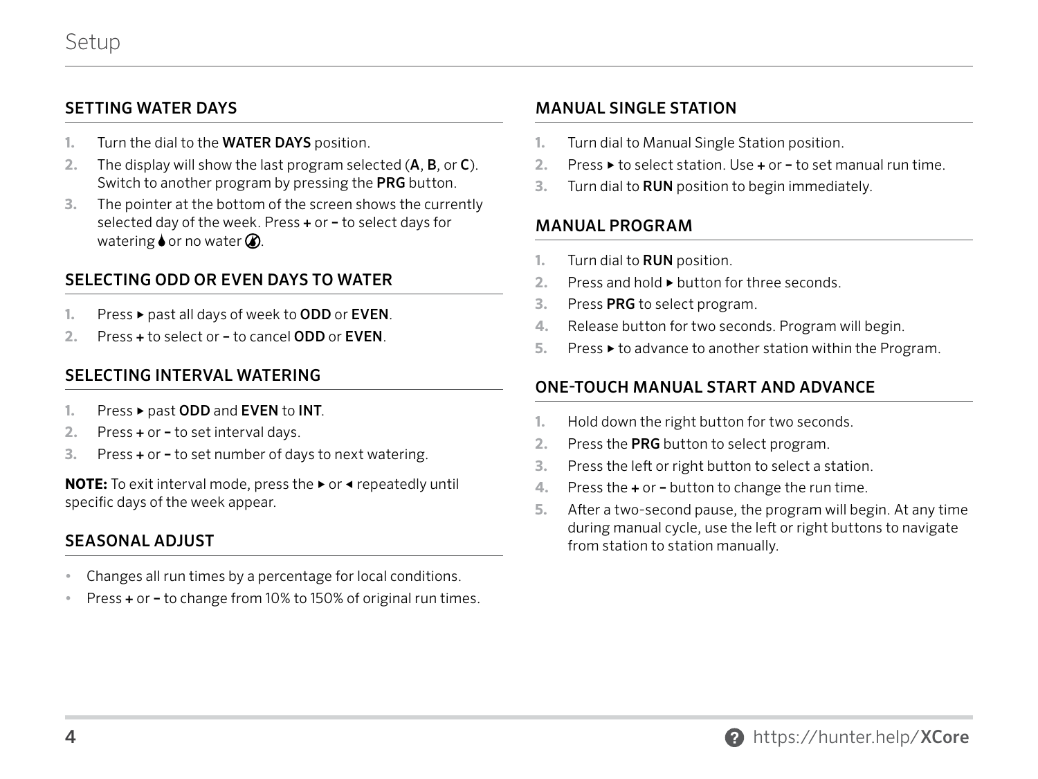#### <span id="page-3-0"></span>SETTING WATER DAYS

- **1.** Turn the dial to the WATER DAYS position.
- **2.** The display will show the last program selected (A, B, or C). Switch to another program by pressing the PRG button.
- **3.** The pointer at the bottom of the screen shows the currently selected day of the week. Press + or – to select days for watering  $\bullet$  or no water  $\oslash$ .

#### SELECTING ODD OR EVEN DAYS TO WATER

- Press ► past all days of week to ODD or EVEN.
- **2.** Press + to select or to cancel ODD or EVEN.

#### SELECTING INTERVAL WATERING

- **1.** Press ► past ODD and EVEN to INT.
- **2.** Press + or to set interval days.
- **3.** Press + or to set number of days to next watering.

**NOTE:** To exit interval mode, press the ► or ◀ repeatedly until specific days of the week appear.

#### SEASONAL ADJUST

- **•** Changes all run times by a percentage for local conditions.
- **•** Press + or to change from 10% to 150% of original run times.

#### MANUAL SINGLE STATION

- **1.** Turn dial to Manual Single Station position.
- **2.** Press ► to select station. Use + or to set manual run time.
- **3.** Turn dial to RUN position to begin immediately.

#### MANUAL PROGRAM

- **1.** Turn dial to RUN position.
- **2.** Press and hold ► button for three seconds.
- **3.** Press PRG to select program.
- **4.** Release button for two seconds. Program will begin.
- **5.** Press ► to advance to another station within the Program.

#### ONE-TOUCH MANUAL START AND ADVANCE

- **1.** Hold down the right button for two seconds.
- **2.** Press the PRG button to select program.
- **3.** Press the left or right button to select a station.
- **4.** Press the + or button to change the run time.
- **5.** After a two-second pause, the program will begin. At any time during manual cycle, use the left or right buttons to navigate from station to station manually.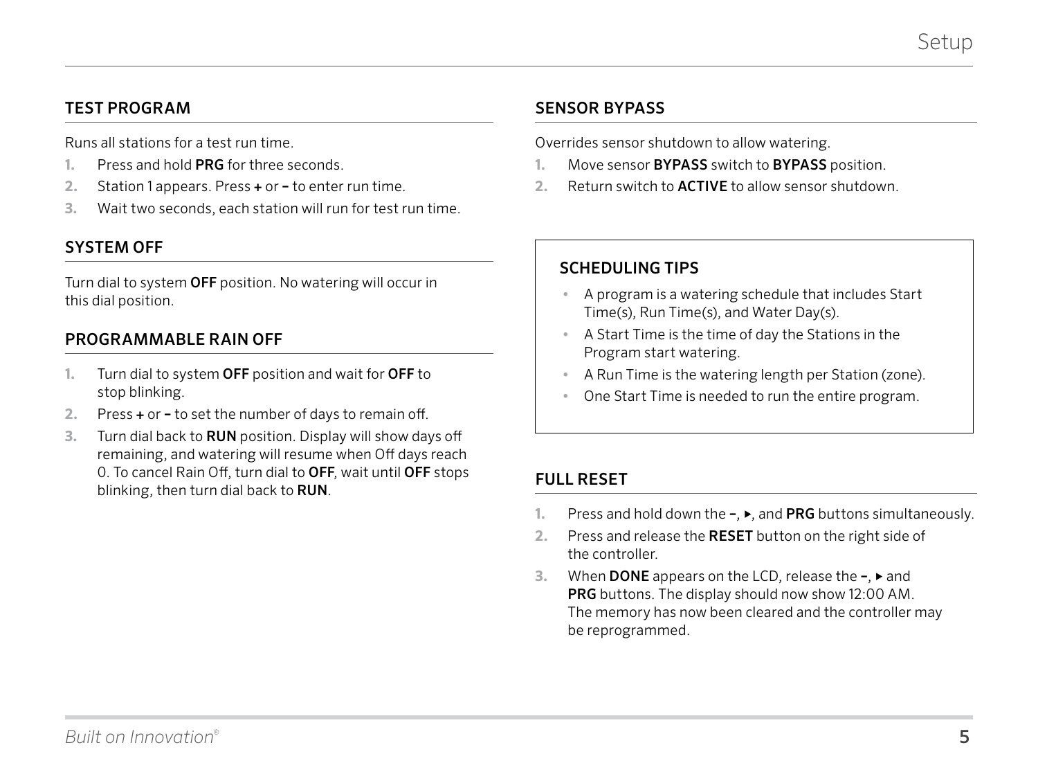### <span id="page-4-0"></span>TEST PROGRAM

Runs all stations for a test run time.

- **1.** Press and hold PRG for three seconds.
- **2.** Station 1 appears. Press + or to enter run time.
- **3.** Wait two seconds, each station will run for test run time.

### SYSTEM OFF

Turn dial to system OFF position. No watering will occur in this dial position.

#### PROGRAMMABLE RAIN OFF

- **1.** Turn dial to system OFF position and wait for OFF to stop blinking.
- **2.** Press + or to set the number of days to remain off.
- **3.** Turn dial back to RUN position. Display will show days off remaining, and watering will resume when Off days reach 0. To cancel Rain Off, turn dial to OFF, wait until OFF stops blinking, then turn dial back to RUN.

#### SENSOR BYPASS

Overrides sensor shutdown to allow watering.

- **1.** Move sensor BYPASS switch to BYPASS position.
- **2.** Return switch to ACTIVE to allow sensor shutdown.

#### SCHEDULING TIPS

- **•** A program is a watering schedule that includes Start Time(s), Run Time(s), and Water Day(s).
- **•** A Start Time is the time of day the Stations in the Program start watering.
- **•** A Run Time is the watering length per Station (zone).
- **•** One Start Time is needed to run the entire program.

#### FULL RESET

- **1.** Press and hold down the –, ►, and PRG buttons simultaneously.
- **2.** Press and release the RESET button on the right side of the controller.
- **3.** When DONE appears on the LCD, release the –, ► and PRG buttons. The display should now show 12:00 AM. The memory has now been cleared and the controller may be reprogrammed.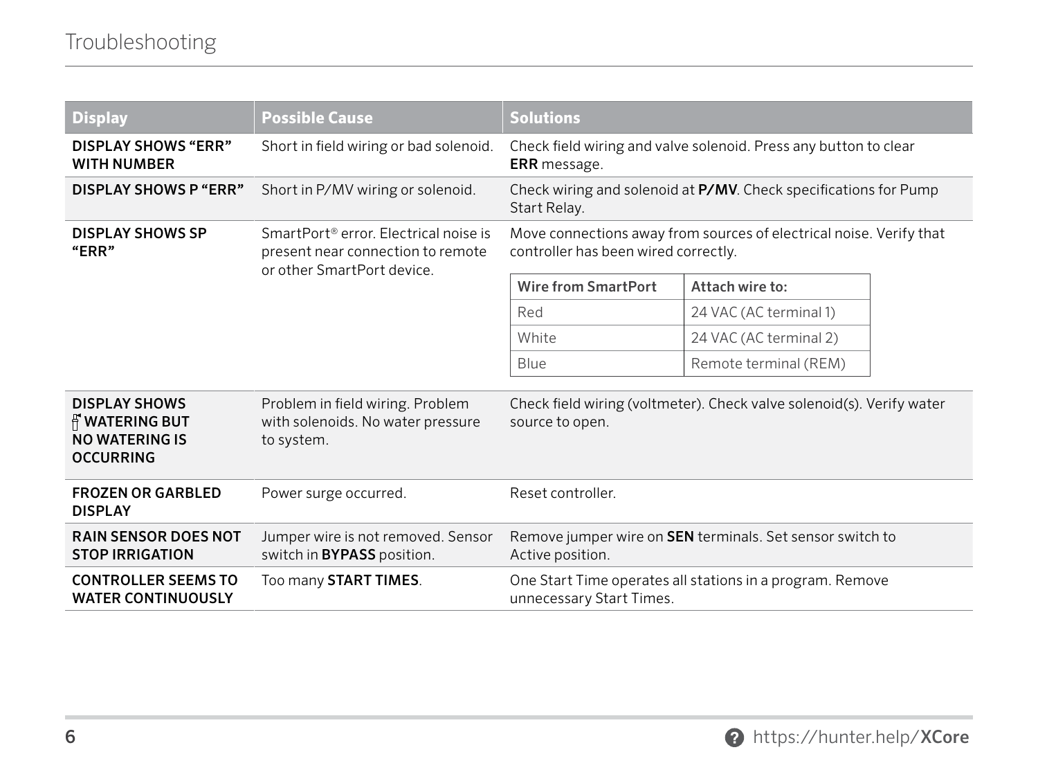<span id="page-5-0"></span>

| <b>Display</b>                                                                      | <b>Possible Cause</b>                                                                                                | <b>Solutions</b>                                                                                            |                        |  |
|-------------------------------------------------------------------------------------|----------------------------------------------------------------------------------------------------------------------|-------------------------------------------------------------------------------------------------------------|------------------------|--|
| <b>DISPLAY SHOWS "ERR"</b><br><b>WITH NUMBER</b>                                    | Short in field wiring or bad solenoid.                                                                               | Check field wiring and valve solenoid. Press any button to clear<br><b>ERR</b> message.                     |                        |  |
| DISPLAY SHOWS P "ERR"                                                               | Short in P/MV wiring or solenoid.                                                                                    | Check wiring and solenoid at P/MV. Check specifications for Pump<br>Start Relay.                            |                        |  |
| <b>DISPLAY SHOWS SP</b><br>"ERR"                                                    | SmartPort <sup>®</sup> error. Electrical noise is<br>present near connection to remote<br>or other SmartPort device. | Move connections away from sources of electrical noise. Verify that<br>controller has been wired correctly. |                        |  |
|                                                                                     |                                                                                                                      | <b>Wire from SmartPort</b>                                                                                  | Attach wire to:        |  |
|                                                                                     |                                                                                                                      | Red                                                                                                         | 24 VAC (AC terminal 1) |  |
|                                                                                     |                                                                                                                      | White                                                                                                       | 24 VAC (AC terminal 2) |  |
|                                                                                     |                                                                                                                      | Blue                                                                                                        | Remote terminal (REM)  |  |
| <b>DISPLAY SHOWS</b><br><b>N</b> WATERING BUT<br>NO WATERING IS<br><b>OCCURRING</b> | Problem in field wiring. Problem<br>with solenoids. No water pressure<br>to system.                                  | Check field wiring (voltmeter). Check valve solenoid(s). Verify water<br>source to open.                    |                        |  |
| <b>FROZEN OR GARBLED</b><br><b>DISPLAY</b>                                          | Power surge occurred.                                                                                                | Reset controller.                                                                                           |                        |  |
| <b>RAIN SENSOR DOES NOT</b><br><b>STOP IRRIGATION</b>                               | Jumper wire is not removed. Sensor<br>switch in BYPASS position.                                                     | Remove jumper wire on <b>SEN</b> terminals. Set sensor switch to<br>Active position.                        |                        |  |
| <b>CONTROLLER SEEMS TO</b><br><b>WATER CONTINUOUSLY</b>                             | Too many START TIMES.                                                                                                | One Start Time operates all stations in a program. Remove<br>unnecessary Start Times.                       |                        |  |

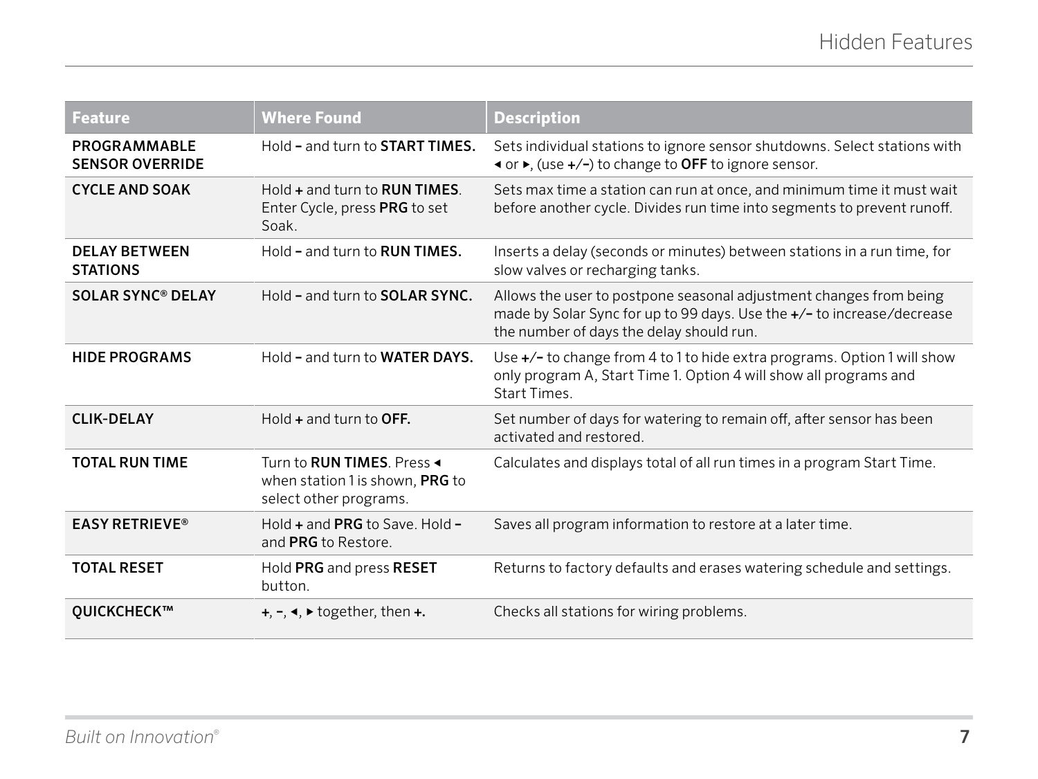<span id="page-6-0"></span>

| <b>Feature</b>                          | <b>Where Found</b>                                                                              | <b>Description</b>                                                                                                                                                                       |
|-----------------------------------------|-------------------------------------------------------------------------------------------------|------------------------------------------------------------------------------------------------------------------------------------------------------------------------------------------|
| PROGRAMMABLE<br><b>SENSOR OVERRIDE</b>  | Hold - and turn to <b>START TIMES.</b>                                                          | Sets individual stations to ignore sensor shutdowns. Select stations with<br><b>Example of F</b> , (use +/-) to change to OFF to ignore sensor.                                          |
| <b>CYCLE AND SOAK</b>                   | $Hold + and turn to RUN TIMES$<br>Enter Cycle, press PRG to set<br>Soak.                        | Sets max time a station can run at once, and minimum time it must wait<br>before another cycle. Divides run time into segments to prevent runoff.                                        |
| <b>DELAY BETWEEN</b><br><b>STATIONS</b> | Hold - and turn to <b>RUN TIMES.</b>                                                            | Inserts a delay (seconds or minutes) between stations in a run time, for<br>slow valves or recharging tanks.                                                                             |
| <b>SOLAR SYNC<sup>®</sup> DELAY</b>     | Hold - and turn to <b>SOLAR SYNC.</b>                                                           | Allows the user to postpone seasonal adjustment changes from being<br>made by Solar Sync for up to 99 days. Use the +/- to increase/decrease<br>the number of days the delay should run. |
| <b>HIDE PROGRAMS</b>                    | Hold - and turn to WATER DAYS.                                                                  | Use +/- to change from 4 to 1 to hide extra programs. Option 1 will show<br>only program A, Start Time 1. Option 4 will show all programs and<br>Start Times.                            |
| <b>CLIK-DELAY</b>                       | Hold $+$ and turn to OFF.                                                                       | Set number of days for watering to remain off, after sensor has been<br>activated and restored.                                                                                          |
| <b>TOTAL RUN TIME</b>                   | Turn to <b>RUN TIMES</b> . Press ◀<br>when station 1 is shown, PRG to<br>select other programs. | Calculates and displays total of all run times in a program Start Time.                                                                                                                  |
| <b>EASY RETRIEVE®</b>                   | Hold $+$ and PRG to Save. Hold $-$<br>and PRG to Restore.                                       | Saves all program information to restore at a later time.                                                                                                                                |
| <b>TOTAL RESET</b>                      | Hold PRG and press RESET<br>button.                                                             | Returns to factory defaults and erases watering schedule and settings.                                                                                                                   |
| OUICKCHECK™                             | $+, \neg, \blacktriangleleft, \blacktriangleright$ together, then $+$ .                         | Checks all stations for wiring problems.                                                                                                                                                 |